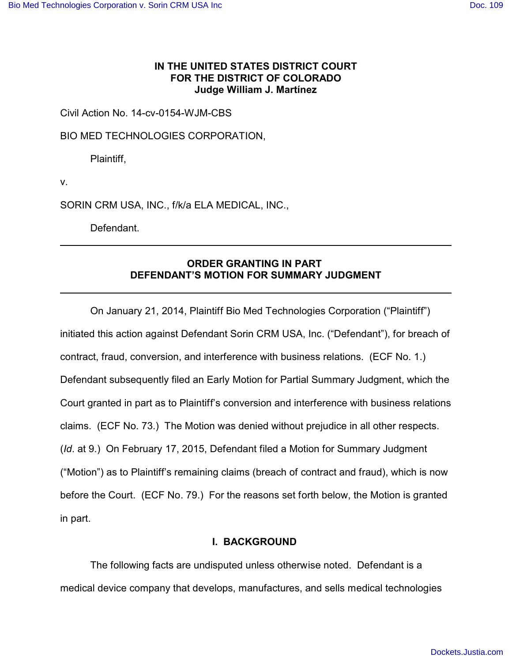## **IN THE UNITED STATES DISTRICT COURT FOR THE DISTRICT OF COLORADO Judge William J. Martínez**

Civil Action No. 14-cv-0154-WJM-CBS

BIO MED TECHNOLOGIES CORPORATION,

Plaintiff,

v.

SORIN CRM USA, INC., f/k/a ELA MEDICAL, INC.,

Defendant.

# **ORDER GRANTING IN PART DEFENDANT'S MOTION FOR SUMMARY JUDGMENT**

On January 21, 2014, Plaintiff Bio Med Technologies Corporation ("Plaintiff") initiated this action against Defendant Sorin CRM USA, Inc. ("Defendant"), for breach of contract, fraud, conversion, and interference with business relations. (ECF No. 1.) Defendant subsequently filed an Early Motion for Partial Summary Judgment, which the Court granted in part as to Plaintiff's conversion and interference with business relations claims. (ECF No. 73.) The Motion was denied without prejudice in all other respects. (*Id*. at 9.) On February 17, 2015, Defendant filed a Motion for Summary Judgment ("Motion") as to Plaintiff's remaining claims (breach of contract and fraud), which is now before the Court. (ECF No. 79.) For the reasons set forth below, the Motion is granted in part.

## **I. BACKGROUND**

The following facts are undisputed unless otherwise noted. Defendant is a medical device company that develops, manufactures, and sells medical technologies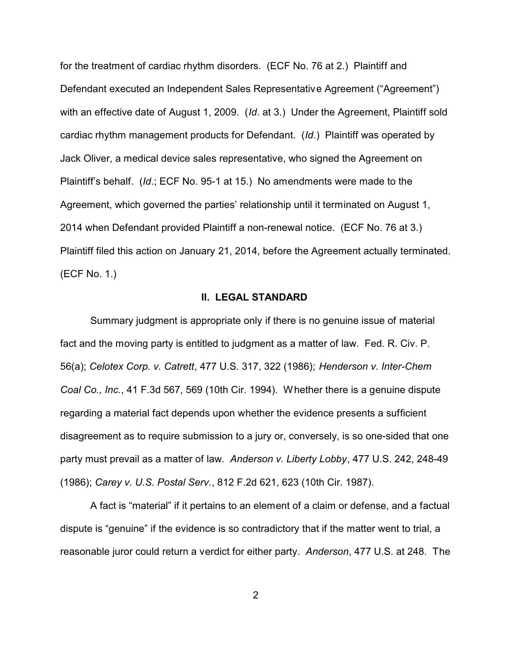for the treatment of cardiac rhythm disorders. (ECF No. 76 at 2.) Plaintiff and Defendant executed an Independent Sales Representative Agreement ("Agreement") with an effective date of August 1, 2009. (*Id*. at 3.) Under the Agreement, Plaintiff sold cardiac rhythm management products for Defendant. (*Id*.) Plaintiff was operated by Jack Oliver, a medical device sales representative, who signed the Agreement on Plaintiff's behalf. (*Id*.; ECF No. 95-1 at 15.) No amendments were made to the Agreement, which governed the parties' relationship until it terminated on August 1, 2014 when Defendant provided Plaintiff a non-renewal notice. (ECF No. 76 at 3.) Plaintiff filed this action on January 21, 2014, before the Agreement actually terminated. (ECF No. 1.)

#### **II. LEGAL STANDARD**

Summary judgment is appropriate only if there is no genuine issue of material fact and the moving party is entitled to judgment as a matter of law. Fed. R. Civ. P. 56(a); *Celotex Corp. v. Catrett*, 477 U.S. 317, 322 (1986); *Henderson v. Inter-Chem Coal Co., Inc.*, 41 F.3d 567, 569 (10th Cir. 1994). Whether there is a genuine dispute regarding a material fact depends upon whether the evidence presents a sufficient disagreement as to require submission to a jury or, conversely, is so one-sided that one party must prevail as a matter of law. *Anderson v. Liberty Lobby*, 477 U.S. 242, 248-49 (1986); *Carey v. U.S. Postal Serv.*, 812 F.2d 621, 623 (10th Cir. 1987).

A fact is "material" if it pertains to an element of a claim or defense, and a factual dispute is "genuine" if the evidence is so contradictory that if the matter went to trial, a reasonable juror could return a verdict for either party. *Anderson*, 477 U.S. at 248. The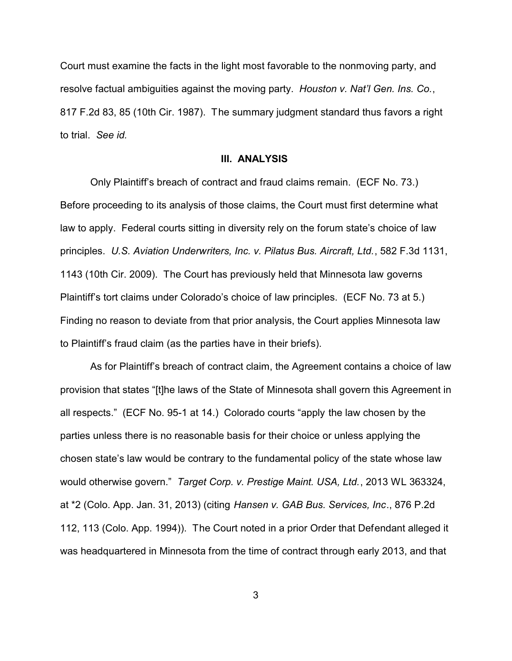Court must examine the facts in the light most favorable to the nonmoving party, and resolve factual ambiguities against the moving party. *Houston v. Nat'l Gen. Ins. Co.*, 817 F.2d 83, 85 (10th Cir. 1987). The summary judgment standard thus favors a right to trial. *See id.* 

### **III. ANALYSIS**

Only Plaintiff's breach of contract and fraud claims remain. (ECF No. 73.) Before proceeding to its analysis of those claims, the Court must first determine what law to apply. Federal courts sitting in diversity rely on the forum state's choice of law principles. *U.S. Aviation Underwriters, Inc. v. Pilatus Bus. Aircraft, Ltd.*, 582 F.3d 1131, 1143 (10th Cir. 2009). The Court has previously held that Minnesota law governs Plaintiff's tort claims under Colorado's choice of law principles. (ECF No. 73 at 5.) Finding no reason to deviate from that prior analysis, the Court applies Minnesota law to Plaintiff's fraud claim (as the parties have in their briefs).

As for Plaintiff's breach of contract claim, the Agreement contains a choice of law provision that states "[t]he laws of the State of Minnesota shall govern this Agreement in all respects." (ECF No. 95-1 at 14.) Colorado courts "apply the law chosen by the parties unless there is no reasonable basis for their choice or unless applying the chosen state's law would be contrary to the fundamental policy of the state whose law would otherwise govern." *Target Corp. v. Prestige Maint. USA, Ltd.*, 2013 WL 363324, at \*2 (Colo. App. Jan. 31, 2013) (citing *Hansen v. GAB Bus. Services, Inc*., 876 P.2d 112, 113 (Colo. App. 1994)). The Court noted in a prior Order that Defendant alleged it was headquartered in Minnesota from the time of contract through early 2013, and that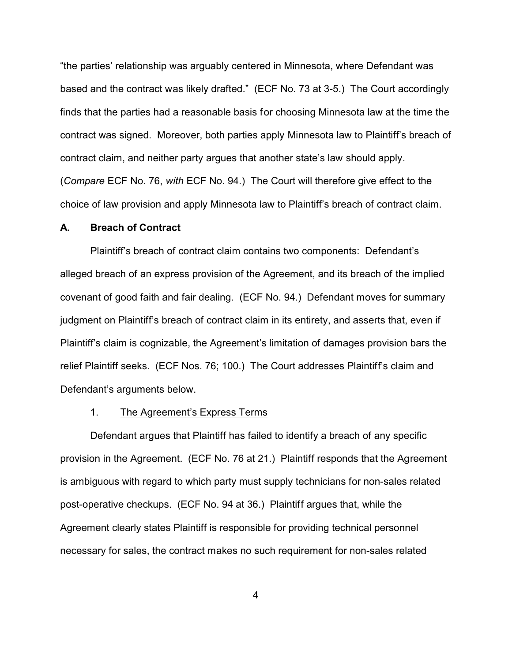"the parties' relationship was arguably centered in Minnesota, where Defendant was based and the contract was likely drafted." (ECF No. 73 at 3-5.) The Court accordingly finds that the parties had a reasonable basis for choosing Minnesota law at the time the contract was signed. Moreover, both parties apply Minnesota law to Plaintiff's breach of contract claim, and neither party argues that another state's law should apply. (*Compare* ECF No. 76, *with* ECF No. 94.) The Court will therefore give effect to the choice of law provision and apply Minnesota law to Plaintiff's breach of contract claim.

#### **A. Breach of Contract**

Plaintiff's breach of contract claim contains two components: Defendant's alleged breach of an express provision of the Agreement, and its breach of the implied covenant of good faith and fair dealing. (ECF No. 94.) Defendant moves for summary judgment on Plaintiff's breach of contract claim in its entirety, and asserts that, even if Plaintiff's claim is cognizable, the Agreement's limitation of damages provision bars the relief Plaintiff seeks. (ECF Nos. 76; 100.) The Court addresses Plaintiff's claim and Defendant's arguments below.

### 1. The Agreement's Express Terms

Defendant argues that Plaintiff has failed to identify a breach of any specific provision in the Agreement. (ECF No. 76 at 21.) Plaintiff responds that the Agreement is ambiguous with regard to which party must supply technicians for non-sales related post-operative checkups. (ECF No. 94 at 36.) Plaintiff argues that, while the Agreement clearly states Plaintiff is responsible for providing technical personnel necessary for sales, the contract makes no such requirement for non-sales related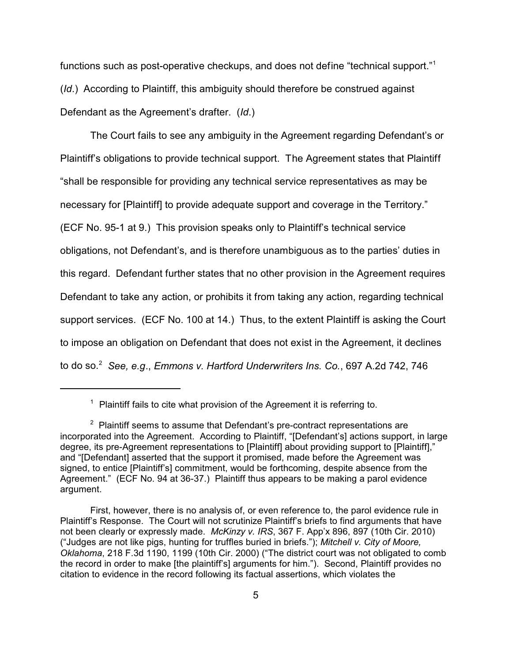functions such as post-operative checkups, and does not define "technical support."<sup>1</sup> (*Id*.) According to Plaintiff, this ambiguity should therefore be construed against Defendant as the Agreement's drafter. (*Id*.)

The Court fails to see any ambiguity in the Agreement regarding Defendant's or Plaintiff's obligations to provide technical support. The Agreement states that Plaintiff "shall be responsible for providing any technical service representatives as may be necessary for [Plaintiff] to provide adequate support and coverage in the Territory." (ECF No. 95-1 at 9.) This provision speaks only to Plaintiff's technical service obligations, not Defendant's, and is therefore unambiguous as to the parties' duties in this regard. Defendant further states that no other provision in the Agreement requires Defendant to take any action, or prohibits it from taking any action, regarding technical support services. (ECF No. 100 at 14.) Thus, to the extent Plaintiff is asking the Court to impose an obligation on Defendant that does not exist in the Agreement, it declines to do so.<sup>2</sup> *See, e.g*., *Emmons v. Hartford Underwriters Ins. Co.*, 697 A.2d 742, 746

 $1$  Plaintiff fails to cite what provision of the Agreement it is referring to.

 $2$  Plaintiff seems to assume that Defendant's pre-contract representations are incorporated into the Agreement. According to Plaintiff, "[Defendant's] actions support, in large degree, its pre-Agreement representations to [Plaintiff] about providing support to [Plaintiff]," and "[Defendant] asserted that the support it promised, made before the Agreement was signed, to entice [Plaintiff's] commitment, would be forthcoming, despite absence from the Agreement." (ECF No. 94 at 36-37.) Plaintiff thus appears to be making a parol evidence argument.

First, however, there is no analysis of, or even reference to, the parol evidence rule in Plaintiff's Response. The Court will not scrutinize Plaintiff's briefs to find arguments that have not been clearly or expressly made. *McKinzy v. IRS*, 367 F. App'x 896, 897 (10th Cir. 2010) ("Judges are not like pigs, hunting for truffles buried in briefs."); *Mitchell v. City of Moore, Oklahoma*, 218 F.3d 1190, 1199 (10th Cir. 2000) ("The district court was not obligated to comb the record in order to make [the plaintiff's] arguments for him."). Second, Plaintiff provides no citation to evidence in the record following its factual assertions, which violates the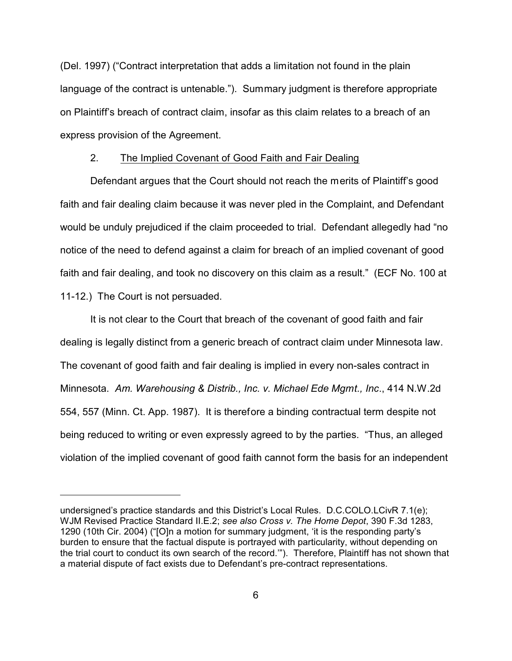(Del. 1997) ("Contract interpretation that adds a limitation not found in the plain language of the contract is untenable."). Summary judgment is therefore appropriate on Plaintiff's breach of contract claim, insofar as this claim relates to a breach of an express provision of the Agreement.

### 2. The Implied Covenant of Good Faith and Fair Dealing

Defendant argues that the Court should not reach the merits of Plaintiff's good faith and fair dealing claim because it was never pled in the Complaint, and Defendant would be unduly prejudiced if the claim proceeded to trial. Defendant allegedly had "no notice of the need to defend against a claim for breach of an implied covenant of good faith and fair dealing, and took no discovery on this claim as a result." (ECF No. 100 at 11-12.) The Court is not persuaded.

It is not clear to the Court that breach of the covenant of good faith and fair dealing is legally distinct from a generic breach of contract claim under Minnesota law. The covenant of good faith and fair dealing is implied in every non-sales contract in Minnesota. *Am. Warehousing & Distrib., Inc. v. Michael Ede Mgmt., Inc*., 414 N.W.2d 554, 557 (Minn. Ct. App. 1987). It is therefore a binding contractual term despite not being reduced to writing or even expressly agreed to by the parties. "Thus, an alleged violation of the implied covenant of good faith cannot form the basis for an independent

undersigned's practice standards and this District's Local Rules. D.C.COLO.LCivR 7.1(e); WJM Revised Practice Standard II.E.2; *see also Cross v. The Home Depot*, 390 F.3d 1283, 1290 (10th Cir. 2004) ("[O]n a motion for summary judgment, 'it is the responding party's burden to ensure that the factual dispute is portrayed with particularity, without depending on the trial court to conduct its own search of the record.'"). Therefore, Plaintiff has not shown that a material dispute of fact exists due to Defendant's pre-contract representations.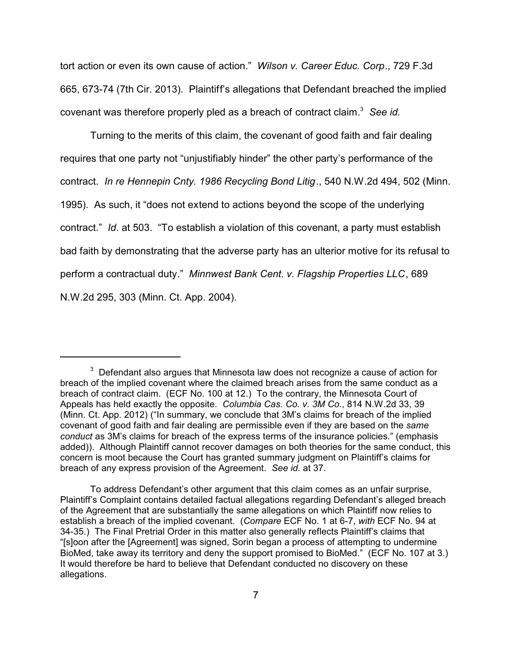tort action or even its own cause of action." *Wilson v. Career Educ. Corp*., 729 F.3d 665, 673-74 (7th Cir. 2013). Plaintiff's allegations that Defendant breached the implied covenant was therefore properly pled as a breach of contract claim. 3 *See id.* 

Turning to the merits of this claim, the covenant of good faith and fair dealing requires that one party not "unjustifiably hinder" the other party's performance of the contract. *In re Hennepin Cnty. 1986 Recycling Bond Litig*., 540 N.W.2d 494, 502 (Minn. 1995). As such, it "does not extend to actions beyond the scope of the underlying contract." *Id*. at 503. "To establish a violation of this covenant, a party must establish bad faith by demonstrating that the adverse party has an ulterior motive for its refusal to perform a contractual duty." *Minnwest Bank Cent. v. Flagship Properties LLC*, 689 N.W.2d 295, 303 (Minn. Ct. App. 2004).

 $3$  Defendant also argues that Minnesota law does not recognize a cause of action for breach of the implied covenant where the claimed breach arises from the same conduct as a breach of contract claim. (ECF No. 100 at 12.) To the contrary, the Minnesota Court of Appeals has held exactly the opposite. *Columbia Cas. Co. v. 3M Co.*, 814 N.W.2d 33, 39 (Minn. Ct. App. 2012) ("In summary, we conclude that 3M's claims for breach of the implied covenant of good faith and fair dealing are permissible even if they are based on the *same conduct* as 3M's claims for breach of the express terms of the insurance policies." (emphasis added)). Although Plaintiff cannot recover damages on both theories for the same conduct, this concern is moot because the Court has granted summary judgment on Plaintiff's claims for breach of any express provision of the Agreement. *See id.* at 37.

To address Defendant's other argument that this claim comes as an unfair surprise, Plaintiff's Complaint contains detailed factual allegations regarding Defendant's alleged breach of the Agreement that are substantially the same allegations on which Plaintiff now relies to establish a breach of the implied covenant. (*Compare* ECF No. 1 at 6-7, *with* ECF No. 94 at 34-35.) The Final Pretrial Order in this matter also generally reflects Plaintiff's claims that "[s]oon after the [Agreement] was signed, Sorin began a process of attempting to undermine BioMed, take away its territory and deny the support promised to BioMed." (ECF No. 107 at 3.) It would therefore be hard to believe that Defendant conducted no discovery on these allegations.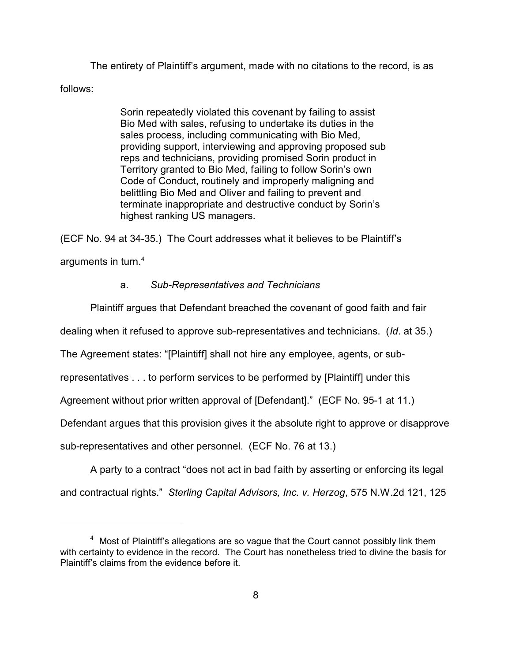The entirety of Plaintiff's argument, made with no citations to the record, is as follows:

> Sorin repeatedly violated this covenant by failing to assist Bio Med with sales, refusing to undertake its duties in the sales process, including communicating with Bio Med, providing support, interviewing and approving proposed sub reps and technicians, providing promised Sorin product in Territory granted to Bio Med, failing to follow Sorin's own Code of Conduct, routinely and improperly maligning and belittling Bio Med and Oliver and failing to prevent and terminate inappropriate and destructive conduct by Sorin's highest ranking US managers.

(ECF No. 94 at 34-35.) The Court addresses what it believes to be Plaintiff's arguments in turn. $^4\,$ 

## a. *Sub-Representatives and Technicians*

Plaintiff argues that Defendant breached the covenant of good faith and fair

dealing when it refused to approve sub-representatives and technicians. (*Id*. at 35.)

The Agreement states: "[Plaintiff] shall not hire any employee, agents, or sub-

representatives . . . to perform services to be performed by [Plaintiff] under this

Agreement without prior written approval of [Defendant]." (ECF No. 95-1 at 11.)

Defendant argues that this provision gives it the absolute right to approve or disapprove

sub-representatives and other personnel. (ECF No. 76 at 13.)

A party to a contract "does not act in bad faith by asserting or enforcing its legal and contractual rights." *Sterling Capital Advisors, Inc. v. Herzog*, 575 N.W.2d 121, 125

<sup>&</sup>lt;sup>4</sup> Most of Plaintiff's allegations are so vague that the Court cannot possibly link them with certainty to evidence in the record. The Court has nonetheless tried to divine the basis for Plaintiff's claims from the evidence before it.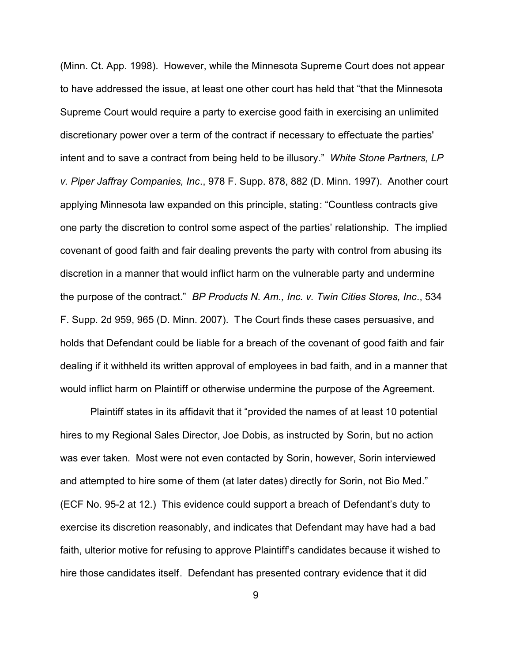(Minn. Ct. App. 1998). However, while the Minnesota Supreme Court does not appear to have addressed the issue, at least one other court has held that "that the Minnesota Supreme Court would require a party to exercise good faith in exercising an unlimited discretionary power over a term of the contract if necessary to effectuate the parties' intent and to save a contract from being held to be illusory." *White Stone Partners, LP v. Piper Jaffray Companies, Inc*., 978 F. Supp. 878, 882 (D. Minn. 1997). Another court applying Minnesota law expanded on this principle, stating: "Countless contracts give one party the discretion to control some aspect of the parties' relationship. The implied covenant of good faith and fair dealing prevents the party with control from abusing its discretion in a manner that would inflict harm on the vulnerable party and undermine the purpose of the contract." *BP Products N. Am., Inc. v. Twin Cities Stores, Inc*., 534 F. Supp. 2d 959, 965 (D. Minn. 2007). The Court finds these cases persuasive, and holds that Defendant could be liable for a breach of the covenant of good faith and fair dealing if it withheld its written approval of employees in bad faith, and in a manner that would inflict harm on Plaintiff or otherwise undermine the purpose of the Agreement.

Plaintiff states in its affidavit that it "provided the names of at least 10 potential hires to my Regional Sales Director, Joe Dobis, as instructed by Sorin, but no action was ever taken. Most were not even contacted by Sorin, however, Sorin interviewed and attempted to hire some of them (at later dates) directly for Sorin, not Bio Med." (ECF No. 95-2 at 12.) This evidence could support a breach of Defendant's duty to exercise its discretion reasonably, and indicates that Defendant may have had a bad faith, ulterior motive for refusing to approve Plaintiff's candidates because it wished to hire those candidates itself. Defendant has presented contrary evidence that it did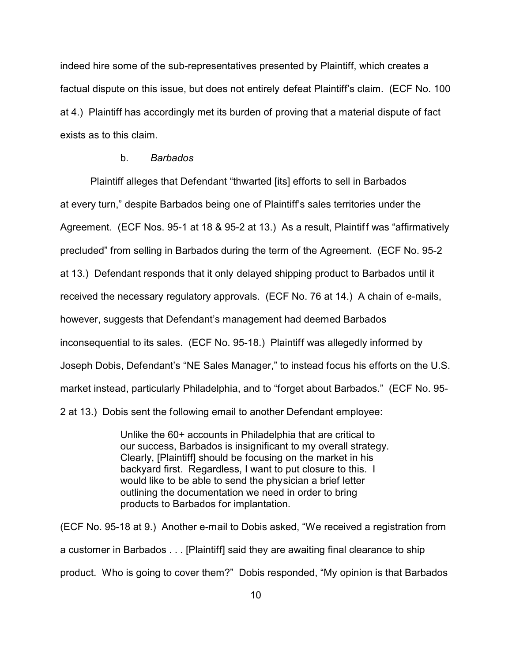indeed hire some of the sub-representatives presented by Plaintiff, which creates a factual dispute on this issue, but does not entirely defeat Plaintiff's claim. (ECF No. 100 at 4.) Plaintiff has accordingly met its burden of proving that a material dispute of fact exists as to this claim.

## b. *Barbados*

Plaintiff alleges that Defendant "thwarted [its] efforts to sell in Barbados at every turn," despite Barbados being one of Plaintiff's sales territories under the Agreement. (ECF Nos. 95-1 at 18 & 95-2 at 13.) As a result, Plaintiff was "affirmatively precluded" from selling in Barbados during the term of the Agreement. (ECF No. 95-2 at 13.) Defendant responds that it only delayed shipping product to Barbados until it received the necessary regulatory approvals. (ECF No. 76 at 14.) A chain of e-mails, however, suggests that Defendant's management had deemed Barbados inconsequential to its sales. (ECF No. 95-18.) Plaintiff was allegedly informed by Joseph Dobis, Defendant's "NE Sales Manager," to instead focus his efforts on the U.S. market instead, particularly Philadelphia, and to "forget about Barbados." (ECF No. 95- 2 at 13.) Dobis sent the following email to another Defendant employee:

> Unlike the 60+ accounts in Philadelphia that are critical to our success, Barbados is insignificant to my overall strategy. Clearly, [Plaintiff] should be focusing on the market in his backyard first. Regardless, I want to put closure to this. I would like to be able to send the physician a brief letter outlining the documentation we need in order to bring products to Barbados for implantation.

(ECF No. 95-18 at 9.) Another e-mail to Dobis asked, "We received a registration from a customer in Barbados . . . [Plaintiff] said they are awaiting final clearance to ship product. Who is going to cover them?" Dobis responded, "My opinion is that Barbados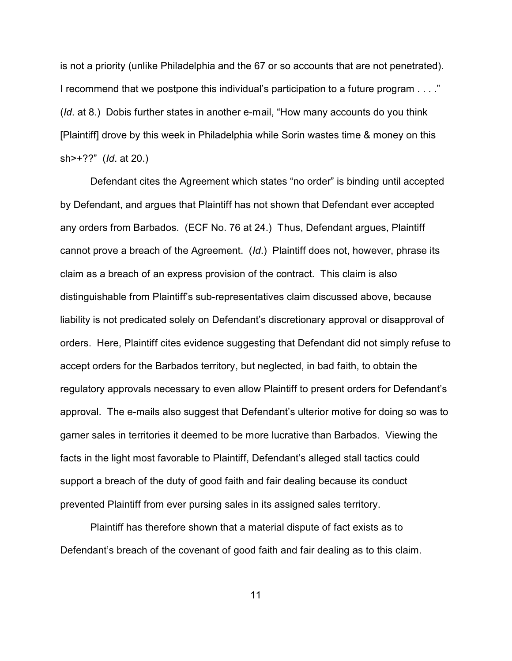is not a priority (unlike Philadelphia and the 67 or so accounts that are not penetrated). I recommend that we postpone this individual's participation to a future program . . . ." (*Id*. at 8.) Dobis further states in another e-mail, "How many accounts do you think [Plaintiff] drove by this week in Philadelphia while Sorin wastes time & money on this sh>+??" (*Id*. at 20.)

Defendant cites the Agreement which states "no order" is binding until accepted by Defendant, and argues that Plaintiff has not shown that Defendant ever accepted any orders from Barbados. (ECF No. 76 at 24.) Thus, Defendant argues, Plaintiff cannot prove a breach of the Agreement. (*Id*.) Plaintiff does not, however, phrase its claim as a breach of an express provision of the contract. This claim is also distinguishable from Plaintiff's sub-representatives claim discussed above, because liability is not predicated solely on Defendant's discretionary approval or disapproval of orders. Here, Plaintiff cites evidence suggesting that Defendant did not simply refuse to accept orders for the Barbados territory, but neglected, in bad faith, to obtain the regulatory approvals necessary to even allow Plaintiff to present orders for Defendant's approval. The e-mails also suggest that Defendant's ulterior motive for doing so was to garner sales in territories it deemed to be more lucrative than Barbados. Viewing the facts in the light most favorable to Plaintiff, Defendant's alleged stall tactics could support a breach of the duty of good faith and fair dealing because its conduct prevented Plaintiff from ever pursing sales in its assigned sales territory.

Plaintiff has therefore shown that a material dispute of fact exists as to Defendant's breach of the covenant of good faith and fair dealing as to this claim.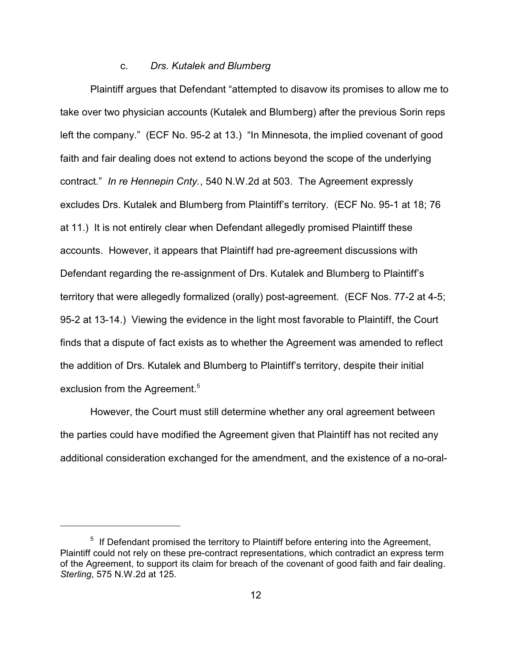## c. *Drs. Kutalek and Blumberg*

Plaintiff argues that Defendant "attempted to disavow its promises to allow me to take over two physician accounts (Kutalek and Blumberg) after the previous Sorin reps left the company." (ECF No. 95-2 at 13.) "In Minnesota, the implied covenant of good faith and fair dealing does not extend to actions beyond the scope of the underlying contract." *In re Hennepin Cnty.*, 540 N.W.2d at 503. The Agreement expressly excludes Drs. Kutalek and Blumberg from Plaintiff's territory. (ECF No. 95-1 at 18; 76 at 11.) It is not entirely clear when Defendant allegedly promised Plaintiff these accounts. However, it appears that Plaintiff had pre-agreement discussions with Defendant regarding the re-assignment of Drs. Kutalek and Blumberg to Plaintiff's territory that were allegedly formalized (orally) post-agreement. (ECF Nos. 77-2 at 4-5; 95-2 at 13-14.) Viewing the evidence in the light most favorable to Plaintiff, the Court finds that a dispute of fact exists as to whether the Agreement was amended to reflect the addition of Drs. Kutalek and Blumberg to Plaintiff's territory, despite their initial exclusion from the Agreement.<sup>5</sup>

However, the Court must still determine whether any oral agreement between the parties could have modified the Agreement given that Plaintiff has not recited any additional consideration exchanged for the amendment, and the existence of a no-oral-

 $5$  If Defendant promised the territory to Plaintiff before entering into the Agreement, Plaintiff could not rely on these pre-contract representations, which contradict an express term of the Agreement, to support its claim for breach of the covenant of good faith and fair dealing. *Sterling*, 575 N.W.2d at 125.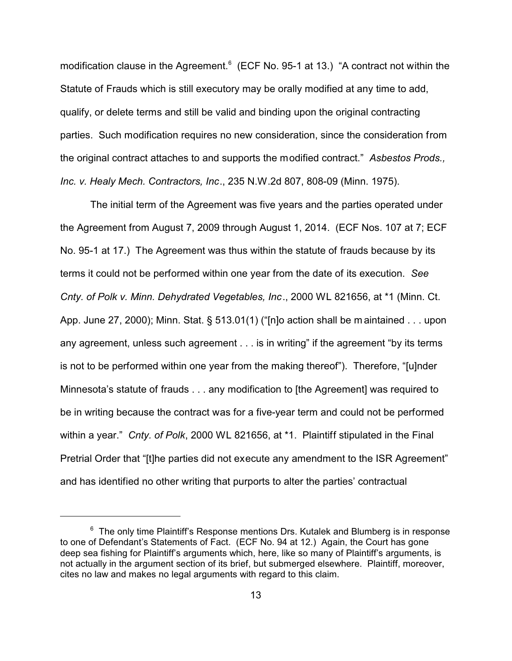modification clause in the Agreement.<sup>6</sup> (ECF No. 95-1 at 13.) "A contract not within the Statute of Frauds which is still executory may be orally modified at any time to add, qualify, or delete terms and still be valid and binding upon the original contracting parties. Such modification requires no new consideration, since the consideration from the original contract attaches to and supports the modified contract." *Asbestos Prods., Inc. v. Healy Mech. Contractors, Inc*., 235 N.W.2d 807, 808-09 (Minn. 1975).

The initial term of the Agreement was five years and the parties operated under the Agreement from August 7, 2009 through August 1, 2014. (ECF Nos. 107 at 7; ECF No. 95-1 at 17.) The Agreement was thus within the statute of frauds because by its terms it could not be performed within one year from the date of its execution. *See Cnty. of Polk v. Minn. Dehydrated Vegetables, Inc*., 2000 WL 821656, at \*1 (Minn. Ct. App. June 27, 2000); Minn. Stat. § 513.01(1) ("[n]o action shall be m aintained . . . upon any agreement, unless such agreement . . . is in writing" if the agreement "by its terms is not to be performed within one year from the making thereof"). Therefore, "[u]nder Minnesota's statute of frauds . . . any modification to [the Agreement] was required to be in writing because the contract was for a five-year term and could not be performed within a year." *Cnty. of Polk*, 2000 WL 821656, at \*1. Plaintiff stipulated in the Final Pretrial Order that "[t]he parties did not execute any amendment to the ISR Agreement" and has identified no other writing that purports to alter the parties' contractual

 $^6$  The only time Plaintiff's Response mentions Drs. Kutalek and Blumberg is in response to one of Defendant's Statements of Fact. (ECF No. 94 at 12.) Again, the Court has gone deep sea fishing for Plaintiff's arguments which, here, like so many of Plaintiff's arguments, is not actually in the argument section of its brief, but submerged elsewhere. Plaintiff, moreover, cites no law and makes no legal arguments with regard to this claim.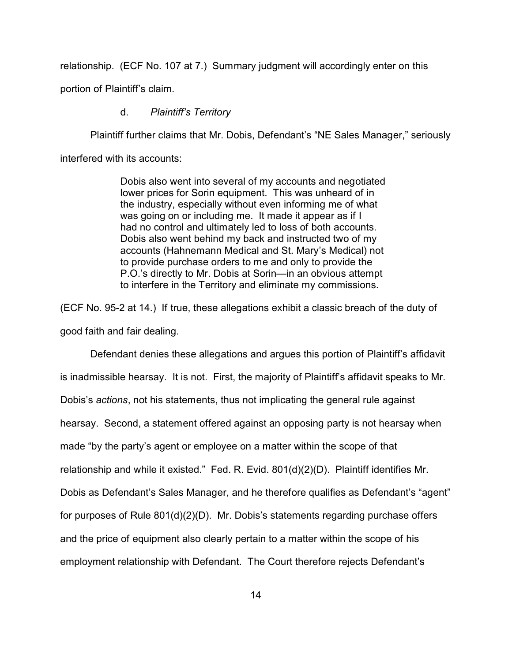relationship. (ECF No. 107 at 7.) Summary judgment will accordingly enter on this

portion of Plaintiff's claim.

## d. *Plaintiff's Territory*

Plaintiff further claims that Mr. Dobis, Defendant's "NE Sales Manager," seriously

interfered with its accounts:

Dobis also went into several of my accounts and negotiated lower prices for Sorin equipment. This was unheard of in the industry, especially without even informing me of what was going on or including me. It made it appear as if I had no control and ultimately led to loss of both accounts. Dobis also went behind my back and instructed two of my accounts (Hahnemann Medical and St. Mary's Medical) not to provide purchase orders to me and only to provide the P.O.'s directly to Mr. Dobis at Sorin—in an obvious attempt to interfere in the Territory and eliminate my commissions.

(ECF No. 95-2 at 14.) If true, these allegations exhibit a classic breach of the duty of good faith and fair dealing.

Defendant denies these allegations and argues this portion of Plaintiff's affidavit is inadmissible hearsay. It is not. First, the majority of Plaintiff's affidavit speaks to Mr. Dobis's *actions*, not his statements, thus not implicating the general rule against hearsay. Second, a statement offered against an opposing party is not hearsay when made "by the party's agent or employee on a matter within the scope of that relationship and while it existed." Fed. R. Evid. 801(d)(2)(D). Plaintiff identifies Mr. Dobis as Defendant's Sales Manager, and he therefore qualifies as Defendant's "agent" for purposes of Rule 801(d)(2)(D). Mr. Dobis's statements regarding purchase offers and the price of equipment also clearly pertain to a matter within the scope of his employment relationship with Defendant. The Court therefore rejects Defendant's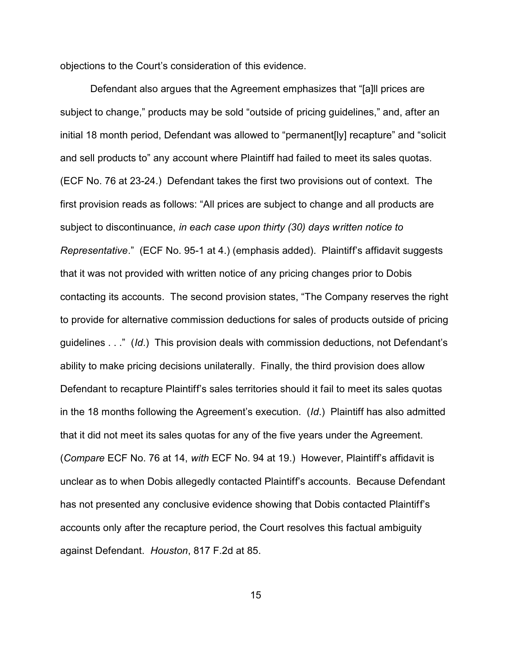objections to the Court's consideration of this evidence.

Defendant also argues that the Agreement emphasizes that "[a]ll prices are subject to change," products may be sold "outside of pricing guidelines," and, after an initial 18 month period, Defendant was allowed to "permanent[ly] recapture" and "solicit and sell products to" any account where Plaintiff had failed to meet its sales quotas. (ECF No. 76 at 23-24.) Defendant takes the first two provisions out of context. The first provision reads as follows: "All prices are subject to change and all products are subject to discontinuance, *in each case upon thirty (30) days written notice to Representative*." (ECF No. 95-1 at 4.) (emphasis added). Plaintiff's affidavit suggests that it was not provided with written notice of any pricing changes prior to Dobis contacting its accounts. The second provision states, "The Company reserves the right to provide for alternative commission deductions for sales of products outside of pricing guidelines . . ." (*Id*.) This provision deals with commission deductions, not Defendant's ability to make pricing decisions unilaterally. Finally, the third provision does allow Defendant to recapture Plaintiff's sales territories should it fail to meet its sales quotas in the 18 months following the Agreement's execution. (*Id*.) Plaintiff has also admitted that it did not meet its sales quotas for any of the five years under the Agreement. (*Compare* ECF No. 76 at 14, *with* ECF No. 94 at 19.) However, Plaintiff's affidavit is unclear as to when Dobis allegedly contacted Plaintiff's accounts. Because Defendant has not presented any conclusive evidence showing that Dobis contacted Plaintiff's accounts only after the recapture period, the Court resolves this factual ambiguity against Defendant. *Houston*, 817 F.2d at 85.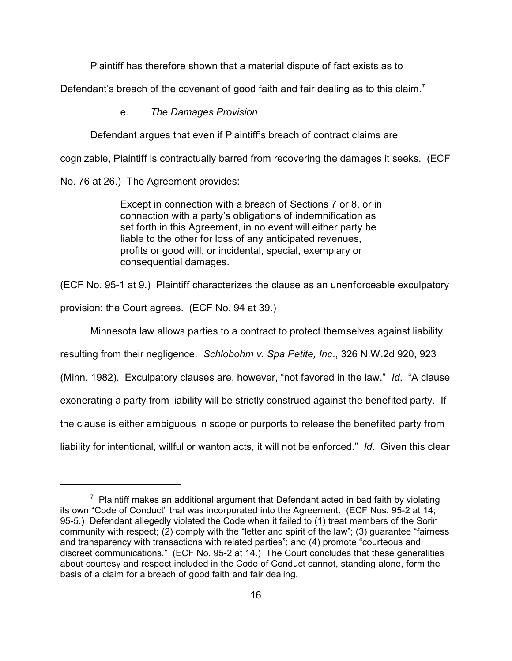Plaintiff has therefore shown that a material dispute of fact exists as to

Defendant's breach of the covenant of good faith and fair dealing as to this claim.<sup>7</sup>

e. *The Damages Provision* 

Defendant argues that even if Plaintiff's breach of contract claims are

cognizable, Plaintiff is contractually barred from recovering the damages it seeks. (ECF

No. 76 at 26.) The Agreement provides:

Except in connection with a breach of Sections 7 or 8, or in connection with a party's obligations of indemnification as set forth in this Agreement, in no event will either party be liable to the other for loss of any anticipated revenues, profits or good will, or incidental, special, exemplary or consequential damages.

(ECF No. 95-1 at 9.) Plaintiff characterizes the clause as an unenforceable exculpatory

provision; the Court agrees. (ECF No. 94 at 39.)

Minnesota law allows parties to a contract to protect themselves against liability

resulting from their negligence. *Schlobohm v. Spa Petite, Inc*., 326 N.W.2d 920, 923

(Minn. 1982). Exculpatory clauses are, however, "not favored in the law." *Id*. "A clause

exonerating a party from liability will be strictly construed against the benefited party. If

the clause is either ambiguous in scope or purports to release the benefited party from

liability for intentional, willful or wanton acts, it will not be enforced." *Id*. Given this clear

 $7$  Plaintiff makes an additional argument that Defendant acted in bad faith by violating its own "Code of Conduct" that was incorporated into the Agreement. (ECF Nos. 95-2 at 14; 95-5.) Defendant allegedly violated the Code when it failed to (1) treat members of the Sorin community with respect; (2) comply with the "letter and spirit of the law"; (3) guarantee "fairness and transparency with transactions with related parties"; and (4) promote "courteous and discreet communications." (ECF No. 95-2 at 14.) The Court concludes that these generalities about courtesy and respect included in the Code of Conduct cannot, standing alone, form the basis of a claim for a breach of good faith and fair dealing.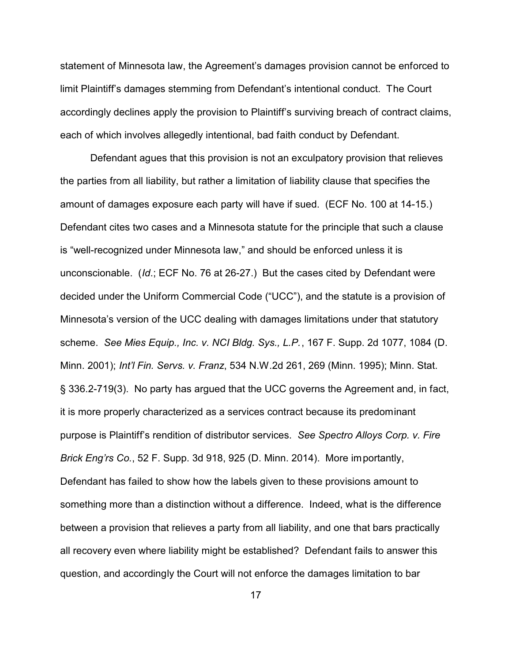statement of Minnesota law, the Agreement's damages provision cannot be enforced to limit Plaintiff's damages stemming from Defendant's intentional conduct. The Court accordingly declines apply the provision to Plaintiff's surviving breach of contract claims, each of which involves allegedly intentional, bad faith conduct by Defendant.

Defendant agues that this provision is not an exculpatory provision that relieves the parties from all liability, but rather a limitation of liability clause that specifies the amount of damages exposure each party will have if sued. (ECF No. 100 at 14-15.) Defendant cites two cases and a Minnesota statute for the principle that such a clause is "well-recognized under Minnesota law," and should be enforced unless it is unconscionable. (*Id*.; ECF No. 76 at 26-27.) But the cases cited by Defendant were decided under the Uniform Commercial Code ("UCC"), and the statute is a provision of Minnesota's version of the UCC dealing with damages limitations under that statutory scheme. *See Mies Equip., Inc. v. NCI Bldg. Sys., L.P.*, 167 F. Supp. 2d 1077, 1084 (D. Minn. 2001); *Int'l Fin. Servs. v. Franz*, 534 N.W.2d 261, 269 (Minn. 1995); Minn. Stat. § 336.2-719(3). No party has argued that the UCC governs the Agreement and, in fact, it is more properly characterized as a services contract because its predominant purpose is Plaintiff's rendition of distributor services. *See Spectro Alloys Corp. v. Fire Brick Eng'rs Co.*, 52 F. Supp. 3d 918, 925 (D. Minn. 2014). More importantly, Defendant has failed to show how the labels given to these provisions amount to something more than a distinction without a difference. Indeed, what is the difference between a provision that relieves a party from all liability, and one that bars practically all recovery even where liability might be established? Defendant fails to answer this question, and accordingly the Court will not enforce the damages limitation to bar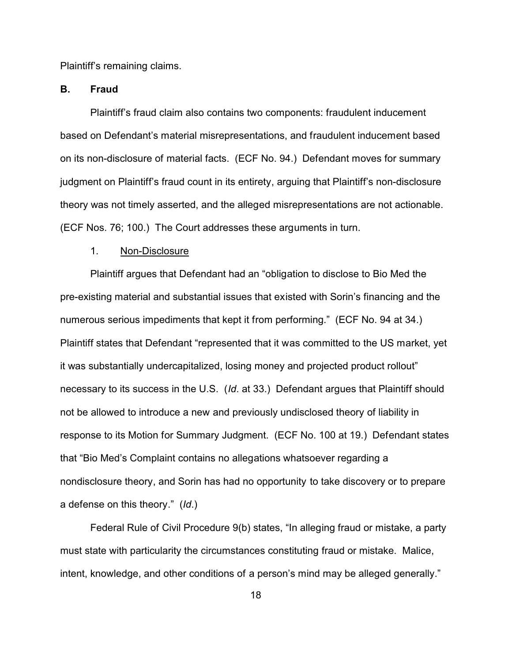Plaintiff's remaining claims.

## **B. Fraud**

Plaintiff's fraud claim also contains two components: fraudulent inducement based on Defendant's material misrepresentations, and fraudulent inducement based on its non-disclosure of material facts. (ECF No. 94.) Defendant moves for summary judgment on Plaintiff's fraud count in its entirety, arguing that Plaintiff's non-disclosure theory was not timely asserted, and the alleged misrepresentations are not actionable. (ECF Nos. 76; 100.) The Court addresses these arguments in turn.

### 1. Non-Disclosure

Plaintiff argues that Defendant had an "obligation to disclose to Bio Med the pre-existing material and substantial issues that existed with Sorin's financing and the numerous serious impediments that kept it from performing." (ECF No. 94 at 34.) Plaintiff states that Defendant "represented that it was committed to the US market, yet it was substantially undercapitalized, losing money and projected product rollout" necessary to its success in the U.S. (*Id*. at 33.) Defendant argues that Plaintiff should not be allowed to introduce a new and previously undisclosed theory of liability in response to its Motion for Summary Judgment. (ECF No. 100 at 19.) Defendant states that "Bio Med's Complaint contains no allegations whatsoever regarding a nondisclosure theory, and Sorin has had no opportunity to take discovery or to prepare a defense on this theory." (*Id*.)

Federal Rule of Civil Procedure 9(b) states, "In alleging fraud or mistake, a party must state with particularity the circumstances constituting fraud or mistake. Malice, intent, knowledge, and other conditions of a person's mind may be alleged generally."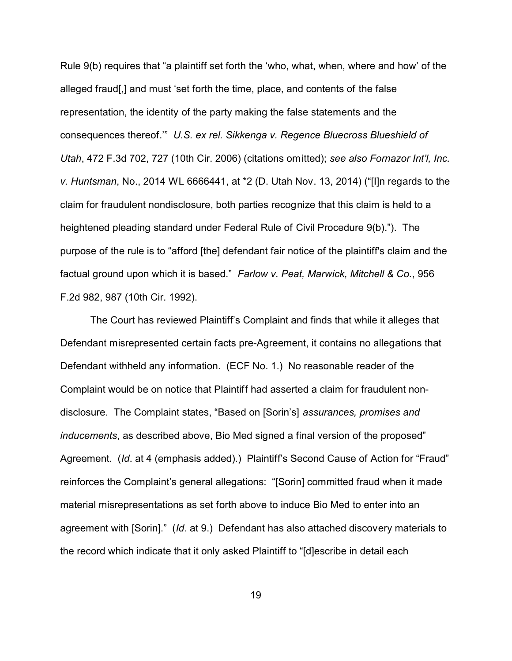Rule 9(b) requires that "a plaintiff set forth the 'who, what, when, where and how' of the alleged fraud[,] and must 'set forth the time, place, and contents of the false representation, the identity of the party making the false statements and the consequences thereof.'" *U.S. ex rel. Sikkenga v. Regence Bluecross Blueshield of Utah*, 472 F.3d 702, 727 (10th Cir. 2006) (citations omitted); *see also Fornazor Int'l, Inc. v. Huntsman*, No., 2014 WL 6666441, at \*2 (D. Utah Nov. 13, 2014) ("[I]n regards to the claim for fraudulent nondisclosure, both parties recognize that this claim is held to a heightened pleading standard under Federal Rule of Civil Procedure 9(b)."). The purpose of the rule is to "afford [the] defendant fair notice of the plaintiff's claim and the factual ground upon which it is based." *Farlow v. Peat, Marwick, Mitchell & Co.*, 956 F.2d 982, 987 (10th Cir. 1992).

The Court has reviewed Plaintiff's Complaint and finds that while it alleges that Defendant misrepresented certain facts pre-Agreement, it contains no allegations that Defendant withheld any information. (ECF No. 1.) No reasonable reader of the Complaint would be on notice that Plaintiff had asserted a claim for fraudulent nondisclosure. The Complaint states, "Based on [Sorin's] *assurances, promises and inducements*, as described above, Bio Med signed a final version of the proposed" Agreement. (*Id*. at 4 (emphasis added).) Plaintiff's Second Cause of Action for "Fraud" reinforces the Complaint's general allegations: "[Sorin] committed fraud when it made material misrepresentations as set forth above to induce Bio Med to enter into an agreement with [Sorin]." (*Id*. at 9.) Defendant has also attached discovery materials to the record which indicate that it only asked Plaintiff to "[d]escribe in detail each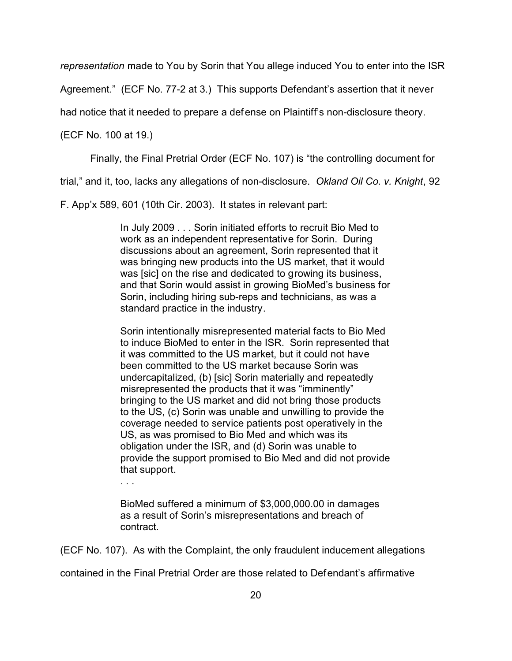*representation* made to You by Sorin that You allege induced You to enter into the ISR

Agreement." (ECF No. 77-2 at 3.) This supports Defendant's assertion that it never

had notice that it needed to prepare a defense on Plaintiff's non-disclosure theory.

(ECF No. 100 at 19.)

Finally, the Final Pretrial Order (ECF No. 107) is "the controlling document for

trial," and it, too, lacks any allegations of non-disclosure. *Okland Oil Co. v. Knight*, 92

F. App'x 589, 601 (10th Cir. 2003). It states in relevant part:

In July 2009 . . . Sorin initiated efforts to recruit Bio Med to work as an independent representative for Sorin. During discussions about an agreement, Sorin represented that it was bringing new products into the US market, that it would was [sic] on the rise and dedicated to growing its business, and that Sorin would assist in growing BioMed's business for Sorin, including hiring sub-reps and technicians, as was a standard practice in the industry.

Sorin intentionally misrepresented material facts to Bio Med to induce BioMed to enter in the ISR. Sorin represented that it was committed to the US market, but it could not have been committed to the US market because Sorin was undercapitalized, (b) [sic] Sorin materially and repeatedly misrepresented the products that it was "imminently" bringing to the US market and did not bring those products to the US, (c) Sorin was unable and unwilling to provide the coverage needed to service patients post operatively in the US, as was promised to Bio Med and which was its obligation under the ISR, and (d) Sorin was unable to provide the support promised to Bio Med and did not provide that support.

. . .

BioMed suffered a minimum of \$3,000,000.00 in damages as a result of Sorin's misrepresentations and breach of contract.

(ECF No. 107). As with the Complaint, the only fraudulent inducement allegations

contained in the Final Pretrial Order are those related to Defendant's affirmative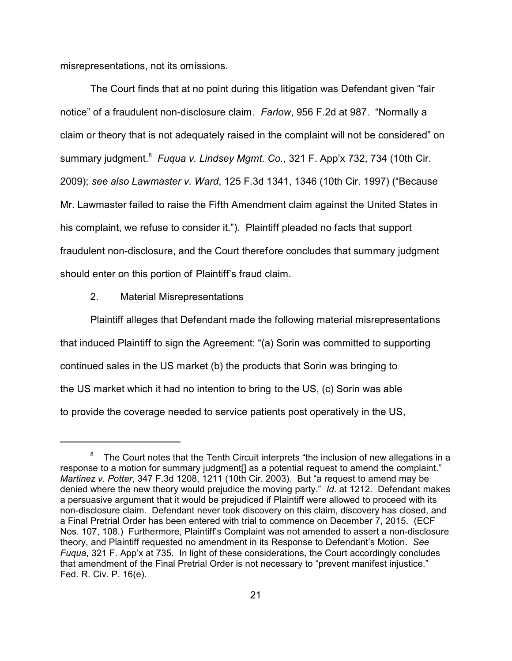misrepresentations, not its omissions.

The Court finds that at no point during this litigation was Defendant given "fair notice" of a fraudulent non-disclosure claim. *Farlow*, 956 F.2d at 987. "Normally a claim or theory that is not adequately raised in the complaint will not be considered" on summary judgment.<sup>8</sup> Fuqua v. Lindsey Mgmt. Co., 321 F. App'x 732, 734 (10th Cir. 2009); *see also Lawmaster v. Ward*, 125 F.3d 1341, 1346 (10th Cir. 1997) ("Because Mr. Lawmaster failed to raise the Fifth Amendment claim against the United States in his complaint, we refuse to consider it."). Plaintiff pleaded no facts that support fraudulent non-disclosure, and the Court therefore concludes that summary judgment should enter on this portion of Plaintiff's fraud claim.

#### 2. Material Misrepresentations

Plaintiff alleges that Defendant made the following material misrepresentations that induced Plaintiff to sign the Agreement: "(a) Sorin was committed to supporting continued sales in the US market (b) the products that Sorin was bringing to the US market which it had no intention to bring to the US, (c) Sorin was able to provide the coverage needed to service patients post operatively in the US,

 $8$  The Court notes that the Tenth Circuit interprets "the inclusion of new allegations in a response to a motion for summary judgment<sup>[]</sup> as a potential request to amend the complaint." *Martinez v. Potter*, 347 F.3d 1208, 1211 (10th Cir. 2003). But "a request to amend may be denied where the new theory would prejudice the moving party." *Id*. at 1212. Defendant makes a persuasive argument that it would be prejudiced if Plaintiff were allowed to proceed with its non-disclosure claim. Defendant never took discovery on this claim, discovery has closed, and a Final Pretrial Order has been entered with trial to commence on December 7, 2015. (ECF Nos. 107, 108.) Furthermore, Plaintiff's Complaint was not amended to assert a non-disclosure theory, and Plaintiff requested no amendment in its Response to Defendant's Motion. *See Fuqua*, 321 F. App'x at 735. In light of these considerations, the Court accordingly concludes that amendment of the Final Pretrial Order is not necessary to "prevent manifest injustice." Fed. R. Civ. P. 16(e).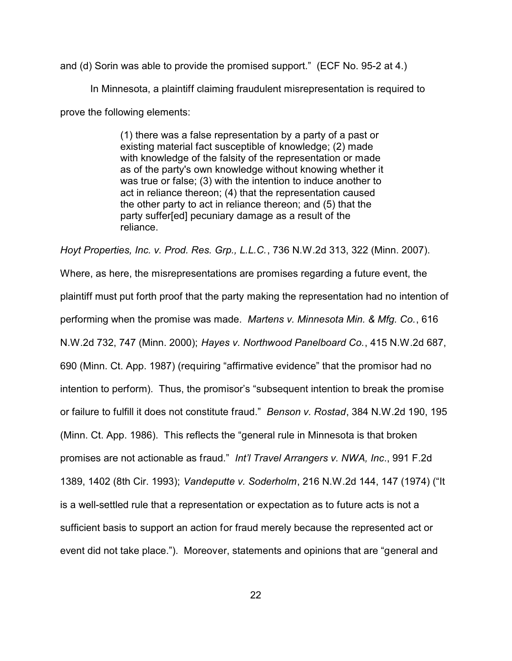and (d) Sorin was able to provide the promised support." (ECF No. 95-2 at 4.)

In Minnesota, a plaintiff claiming fraudulent misrepresentation is required to prove the following elements:

> (1) there was a false representation by a party of a past or existing material fact susceptible of knowledge; (2) made with knowledge of the falsity of the representation or made as of the party's own knowledge without knowing whether it was true or false; (3) with the intention to induce another to act in reliance thereon; (4) that the representation caused the other party to act in reliance thereon; and (5) that the party suffer[ed] pecuniary damage as a result of the reliance.

*Hoyt Properties, Inc. v. Prod. Res. Grp., L.L.C.*, 736 N.W.2d 313, 322 (Minn. 2007).

Where, as here, the misrepresentations are promises regarding a future event, the plaintiff must put forth proof that the party making the representation had no intention of performing when the promise was made. *Martens v. Minnesota Min. & Mfg. Co.*, 616 N.W.2d 732, 747 (Minn. 2000); *Hayes v. Northwood Panelboard Co.*, 415 N.W.2d 687, 690 (Minn. Ct. App. 1987) (requiring "affirmative evidence" that the promisor had no intention to perform). Thus, the promisor's "subsequent intention to break the promise or failure to fulfill it does not constitute fraud." *Benson v. Rostad*, 384 N.W.2d 190, 195 (Minn. Ct. App. 1986). This reflects the "general rule in Minnesota is that broken promises are not actionable as fraud." *Int'l Travel Arrangers v. NWA, Inc*., 991 F.2d 1389, 1402 (8th Cir. 1993); *Vandeputte v. Soderholm*, 216 N.W.2d 144, 147 (1974) ("It is a well-settled rule that a representation or expectation as to future acts is not a sufficient basis to support an action for fraud merely because the represented act or event did not take place."). Moreover, statements and opinions that are "general and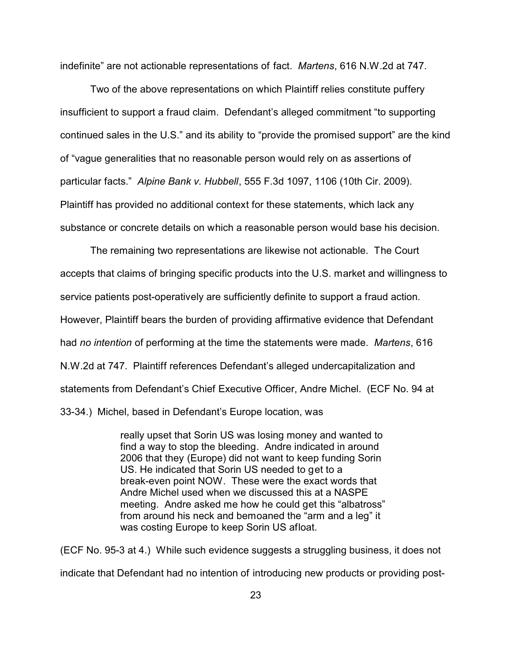indefinite" are not actionable representations of fact. *Martens*, 616 N.W.2d at 747.

Two of the above representations on which Plaintiff relies constitute puffery insufficient to support a fraud claim. Defendant's alleged commitment "to supporting continued sales in the U.S." and its ability to "provide the promised support" are the kind of "vague generalities that no reasonable person would rely on as assertions of particular facts." *Alpine Bank v. Hubbell*, 555 F.3d 1097, 1106 (10th Cir. 2009). Plaintiff has provided no additional context for these statements, which lack any substance or concrete details on which a reasonable person would base his decision.

The remaining two representations are likewise not actionable. The Court accepts that claims of bringing specific products into the U.S. market and willingness to service patients post-operatively are sufficiently definite to support a fraud action. However, Plaintiff bears the burden of providing affirmative evidence that Defendant had *no intention* of performing at the time the statements were made. *Martens*, 616 N.W.2d at 747. Plaintiff references Defendant's alleged undercapitalization and statements from Defendant's Chief Executive Officer, Andre Michel. (ECF No. 94 at 33-34.) Michel, based in Defendant's Europe location, was

> really upset that Sorin US was losing money and wanted to find a way to stop the bleeding. Andre indicated in around 2006 that they (Europe) did not want to keep funding Sorin US. He indicated that Sorin US needed to get to a break-even point NOW. These were the exact words that Andre Michel used when we discussed this at a NASPE meeting. Andre asked me how he could get this "albatross" from around his neck and bemoaned the "arm and a leg" it was costing Europe to keep Sorin US afloat.

(ECF No. 95-3 at 4.) While such evidence suggests a struggling business, it does not indicate that Defendant had no intention of introducing new products or providing post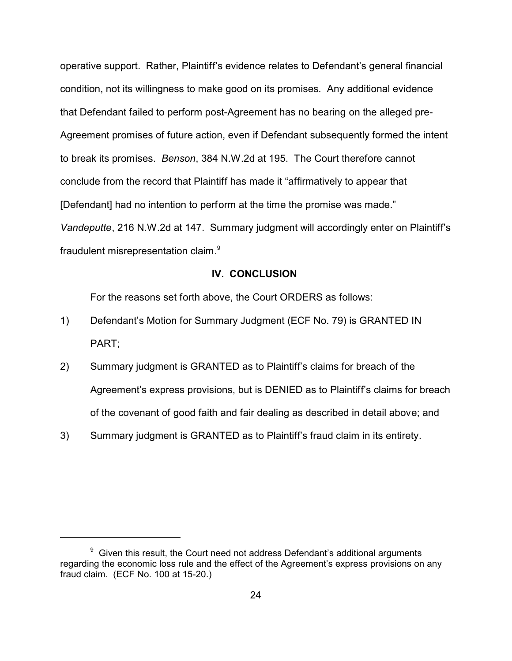operative support. Rather, Plaintiff's evidence relates to Defendant's general financial condition, not its willingness to make good on its promises*.* Any additional evidence that Defendant failed to perform post-Agreement has no bearing on the alleged pre-Agreement promises of future action, even if Defendant subsequently formed the intent to break its promises. *Benson*, 384 N.W.2d at 195. The Court therefore cannot conclude from the record that Plaintiff has made it "affirmatively to appear that [Defendant] had no intention to perform at the time the promise was made." *Vandeputte*, 216 N.W.2d at 147. Summary judgment will accordingly enter on Plaintiff's fraudulent misrepresentation claim.<sup>9</sup>

### **IV. CONCLUSION**

For the reasons set forth above, the Court ORDERS as follows:

- 1) Defendant's Motion for Summary Judgment (ECF No. 79) is GRANTED IN PART;
- 2) Summary judgment is GRANTED as to Plaintiff's claims for breach of the Agreement's express provisions, but is DENIED as to Plaintiff's claims for breach of the covenant of good faith and fair dealing as described in detail above; and
- 3) Summary judgment is GRANTED as to Plaintiff's fraud claim in its entirety.

 $9\,$  Given this result, the Court need not address Defendant's additional arguments regarding the economic loss rule and the effect of the Agreement's express provisions on any fraud claim. (ECF No. 100 at 15-20.)